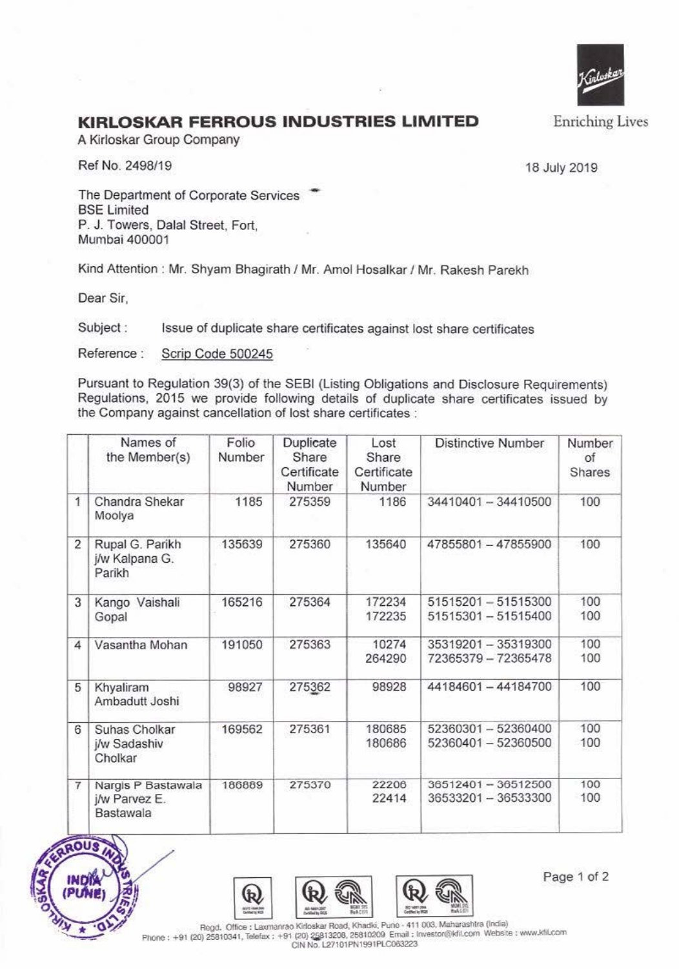

## **KIRLOSKAR FERROUS INDUSTRIES LIMITED**

A Kirloskar Group Company

Ref No. 2498/19 18 July 2019

The Department of Corporate Services BSE Limited P. J. Towers, Dalal Street, Fort, Mumbai 400001

Kind Attention : Mr. Shyam Bhagirath / Mr. Amol Hosalkar / Mr. Rakesh Parekh

Dear Sir,

Subject : Issue of duplicate share certificates against lost share certificates

Reference : Scrip Code 500245

Pursuant to Regulation 39(3) of the SEBI (Listing Obligations and Disclosure Requirements) Regulations, 2015 we provide following details of duplicate share certificates issued by the Company against cancellation of lost share certificates :

|   | Names of<br>the Member(s)                        | Folio<br>Number | Duplicate<br>Share<br>Certificate<br>Number | Lost<br>Share<br>Certificate<br>Number | <b>Distinctive Number</b>                  | Number<br>of<br>Shares |
|---|--------------------------------------------------|-----------------|---------------------------------------------|----------------------------------------|--------------------------------------------|------------------------|
| 1 | Chandra Shekar<br>Moolya                         | 1185            | 275359                                      | 1186                                   | 34410401 - 34410500                        | 100                    |
| 2 | Rupal G. Parikh<br>j/w Kalpana G.<br>Parikh      | 135639          | 275360                                      | 135640                                 | 47855801 - 47855900                        | 100                    |
| 3 | Kango Vaishali<br>Gopal                          | 165216          | 275364                                      | 172234<br>172235                       | 51515201-51515300<br>51515301-51515400     | 100<br>100             |
| 4 | Vasantha Mohan                                   | 191050          | 275363                                      | 10274<br>264290                        | 35319201 - 35319300<br>72365379 - 72365478 | 100<br>100             |
| 5 | Khyaliram<br>Ambadutt Joshi                      | 98927           | 275362                                      | 98928                                  | 44184601-44184700                          | 100                    |
| 6 | Suhas Cholkar<br>j/w Sadashiv<br>Cholkar         | 169562          | 275361                                      | 180685<br>180686                       | 52360301-52360400<br>52360401 - 52360500   | 100<br>100             |
| 7 | Nargis P Bastawala<br>j/w Parvez E.<br>Bastawala | 186889          | 275370                                      | 22206<br>22414                         | 36512401-36512500<br>36533201 - 36533300   | 100<br>100             |







Page 1 of 2

Phone: +91 (20) 25810341, Telefax: +91 (20) 25813208, 25810209 Email: Investor@kfil.com Website: www.kfil.com **CIN No. L27101PN1991PLC003223**